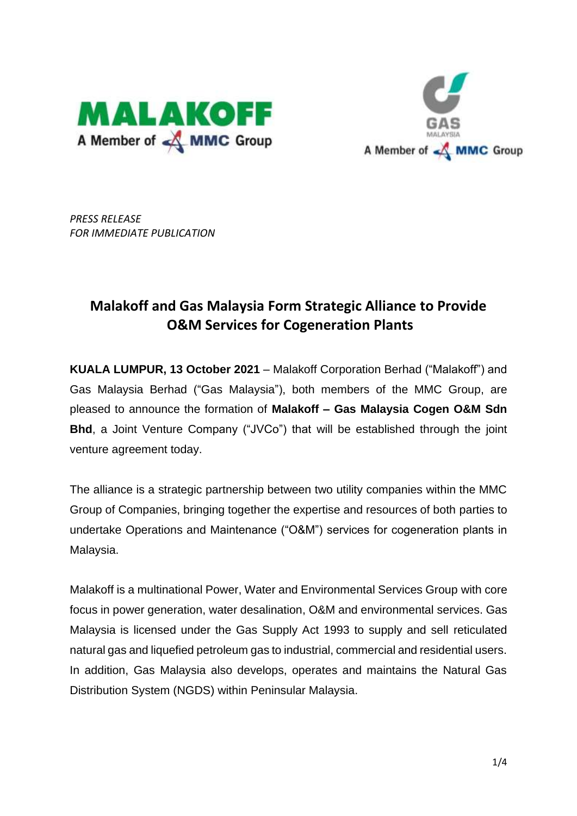



*PRESS RELEASE FOR IMMEDIATE PUBLICATION* 

# **Malakoff and Gas Malaysia Form Strategic Alliance to Provide O&M Services for Cogeneration Plants**

**KUALA LUMPUR, 13 October 2021** – Malakoff Corporation Berhad ("Malakoff") and Gas Malaysia Berhad ("Gas Malaysia"), both members of the MMC Group, are pleased to announce the formation of **Malakoff – Gas Malaysia Cogen O&M Sdn Bhd**, a Joint Venture Company ("JVCo") that will be established through the joint venture agreement today.

The alliance is a strategic partnership between two utility companies within the MMC Group of Companies, bringing together the expertise and resources of both parties to undertake Operations and Maintenance ("O&M") services for cogeneration plants in Malaysia.

Malakoff is a multinational Power, Water and Environmental Services Group with core focus in power generation, water desalination, O&M and environmental services. Gas Malaysia is licensed under the Gas Supply Act 1993 to supply and sell reticulated natural gas and liquefied petroleum gas to industrial, commercial and residential users. In addition, Gas Malaysia also develops, operates and maintains the Natural Gas Distribution System (NGDS) within Peninsular Malaysia.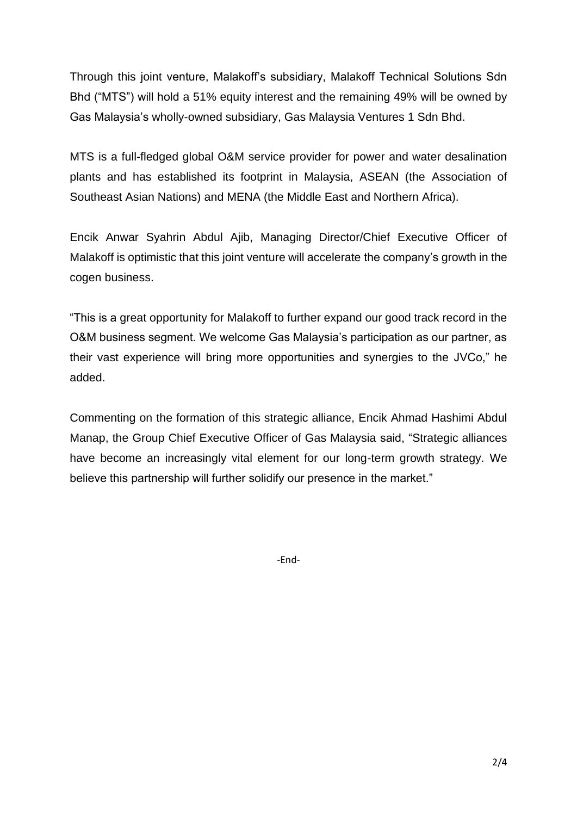Through this joint venture, Malakoff's subsidiary, Malakoff Technical Solutions Sdn Bhd ("MTS") will hold a 51% equity interest and the remaining 49% will be owned by Gas Malaysia's wholly-owned subsidiary, Gas Malaysia Ventures 1 Sdn Bhd.

MTS is a full-fledged global O&M service provider for power and water desalination plants and has established its footprint in Malaysia, ASEAN (the Association of Southeast Asian Nations) and MENA (the Middle East and Northern Africa).

Encik Anwar Syahrin Abdul Ajib, Managing Director/Chief Executive Officer of Malakoff is optimistic that this joint venture will accelerate the company's growth in the cogen business.

"This is a great opportunity for Malakoff to further expand our good track record in the O&M business segment. We welcome Gas Malaysia's participation as our partner, as their vast experience will bring more opportunities and synergies to the JVCo," he added.

Commenting on the formation of this strategic alliance, Encik Ahmad Hashimi Abdul Manap, the Group Chief Executive Officer of Gas Malaysia said, "Strategic alliances have become an increasingly vital element for our long-term growth strategy. We believe this partnership will further solidify our presence in the market."

-End-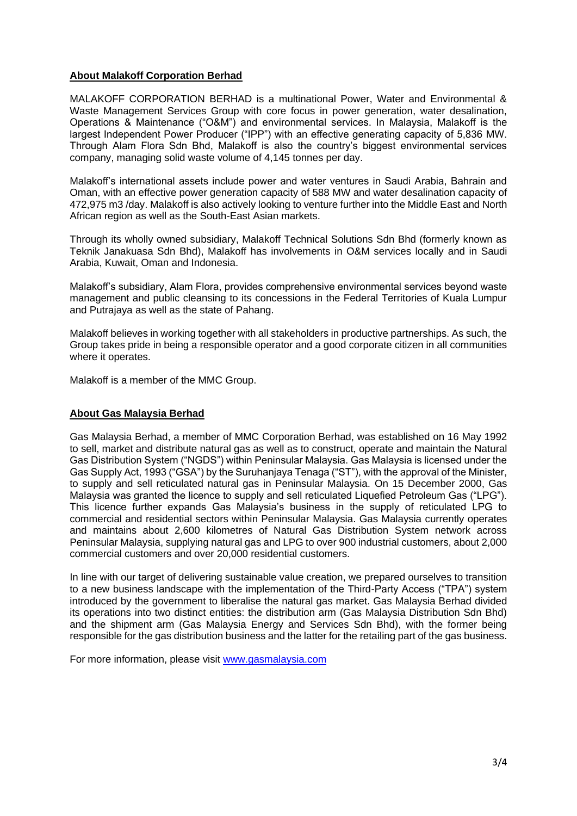#### **About Malakoff Corporation Berhad**

MALAKOFF CORPORATION BERHAD is a multinational Power, Water and Environmental & Waste Management Services Group with core focus in power generation, water desalination, Operations & Maintenance ("O&M") and environmental services. In Malaysia, Malakoff is the largest Independent Power Producer ("IPP") with an effective generating capacity of 5,836 MW. Through Alam Flora Sdn Bhd, Malakoff is also the country's biggest environmental services company, managing solid waste volume of 4,145 tonnes per day.

Malakoff's international assets include power and water ventures in Saudi Arabia, Bahrain and Oman, with an effective power generation capacity of 588 MW and water desalination capacity of 472,975 m3 /day. Malakoff is also actively looking to venture further into the Middle East and North African region as well as the South-East Asian markets.

Through its wholly owned subsidiary, Malakoff Technical Solutions Sdn Bhd (formerly known as Teknik Janakuasa Sdn Bhd), Malakoff has involvements in O&M services locally and in Saudi Arabia, Kuwait, Oman and Indonesia.

Malakoff's subsidiary, Alam Flora, provides comprehensive environmental services beyond waste management and public cleansing to its concessions in the Federal Territories of Kuala Lumpur and Putrajaya as well as the state of Pahang.

Malakoff believes in working together with all stakeholders in productive partnerships. As such, the Group takes pride in being a responsible operator and a good corporate citizen in all communities where it operates.

Malakoff is a member of the MMC Group.

#### **About Gas Malaysia Berhad**

Gas Malaysia Berhad, a member of MMC Corporation Berhad, was established on 16 May 1992 to sell, market and distribute natural gas as well as to construct, operate and maintain the Natural Gas Distribution System ("NGDS") within Peninsular Malaysia. Gas Malaysia is licensed under the Gas Supply Act, 1993 ("GSA") by the Suruhanjaya Tenaga ("ST"), with the approval of the Minister, to supply and sell reticulated natural gas in Peninsular Malaysia. On 15 December 2000, Gas Malaysia was granted the licence to supply and sell reticulated Liquefied Petroleum Gas ("LPG"). This licence further expands Gas Malaysia's business in the supply of reticulated LPG to commercial and residential sectors within Peninsular Malaysia. Gas Malaysia currently operates and maintains about 2,600 kilometres of Natural Gas Distribution System network across Peninsular Malaysia, supplying natural gas and LPG to over 900 industrial customers, about 2,000 commercial customers and over 20,000 residential customers.

In line with our target of delivering sustainable value creation, we prepared ourselves to transition to a new business landscape with the implementation of the Third-Party Access ("TPA") system introduced by the government to liberalise the natural gas market. Gas Malaysia Berhad divided its operations into two distinct entities: the distribution arm (Gas Malaysia Distribution Sdn Bhd) and the shipment arm (Gas Malaysia Energy and Services Sdn Bhd), with the former being responsible for the gas distribution business and the latter for the retailing part of the gas business.

For more information, please visit [www.gasmalaysia.com](http://www.gasmalaysia.com/)